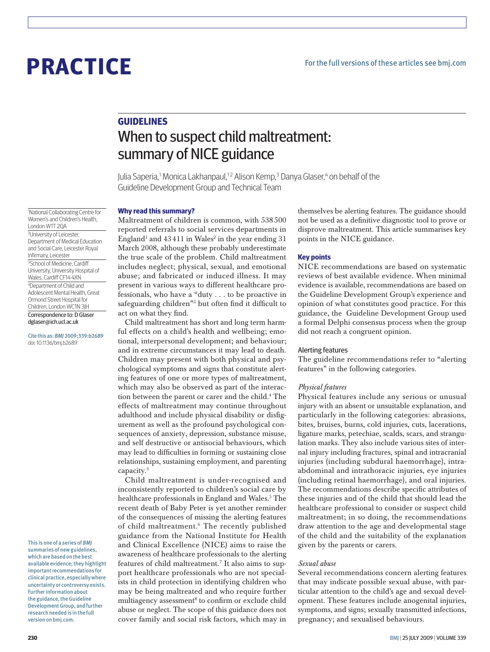# **PRACTICE** For the full versions of these articles see bmj.com

# **Guidelines** When to suspect child maltreatment: summary of NICE guidance

Julia Saperia,1 Monica Lakhanpaul,12 Alison Kemp,<sup>3</sup> Danya Glaser,4 on behalf of the Guideline Development Group and Technical Team

# **Why read this summary?**

Maltreatment of children is common, with 538 500 reported referrals to social services departments in England<sup>1</sup> and  $43\,411$  in Wales<sup>2</sup> in the year ending  $31$ March 2008, although these probably underestimate the true scale of the problem. Child maltreatment includes neglect; physical, sexual, and emotional abuse; and fabricated or induced illness. It may present in various ways to different healthcare professionals, who have a "duty . . . to be proactive in safeguarding children<sup>33</sup> but often find it difficult to act on what they find.

Child maltreatment has short and long term harmful effects on a child's health and wellbeing; emotional, interpersonal development; and behaviour; and in extreme circumstances it may lead to death. Children may present with both physical and psychological symptoms and signs that constitute alerting features of one or more types of maltreatment, which may also be observed as part of the interaction between the parent or carer and the child.4 The effects of maltreatment may continue throughout adulthood and include physical disability or disfigurement as well as the profound psychological consequences of anxiety, depression, substance misuse, and self destructive or antisocial behaviours, which may lead to difficulties in forming or sustaining close relationships, sustaining employment, and parenting capacity.3

Child maltreatment is under-recognised and inconsistently reported to children's social care by healthcare professionals in England and Wales.<sup>5</sup> The recent death of Baby Peter is yet another reminder of the consequences of missing the alerting features of child maltreatment.<sup>6</sup> The recently published guidance from the National Institute for Health and Clinical Excellence (NICE) aims to raise the awareness of healthcare professionals to the alerting features of child maltreatment.7 It also aims to support healthcare professionals who are not specialists in child protection in identifying children who may be being maltreated and who require further multiagency assessment<sup>8</sup> to confirm or exclude child abuse or neglect. The scope of this guidance does not cover family and social risk factors, which may in

themselves be alerting features. The guidance should not be used as a definitive diagnostic tool to prove or disprove maltreatment. This article summarises key points in the NICE guidance.

#### **Key points**

NICE recommendations are based on systematic reviews of best available evidence. When minimal evidence is available, recommendations are based on the Guideline Development Group's experience and opinion of what constitutes good practice. For this guidance, the Guideline Development Group used a formal Delphi consensus process when the group did not reach a congruent opinion.

#### Alerting features

The guideline recommendations refer to "alerting features" in the following categories.

#### *Physical features*

Physical features include any serious or unusual injury with an absent or unsuitable explanation, and particularly in the following categories: abrasions, bites, bruises, burns, cold injuries, cuts, lacerations, ligature marks, petechiae, scalds, scars, and strangulation marks. They also include various sites of internal injury including fractures, spinal and intracranial injuries (including subdural haemorrhage), intraabdominal and intrathoracic injuries, eye injuries (including retinal haemorrhage), and oral injuries. The recommendations describe specific attributes of these injuries and of the child that should lead the healthcare professional to consider or suspect child maltreatment; in so doing, the recommendations draw attention to the age and developmental stage of the child and the suitability of the explanation given by the parents or carers.

# *Sexual abuse*

Several recommendations concern alerting features that may indicate possible sexual abuse, with particular attention to the child's age and sexual development. These features include anogenital injuries, symptoms, and signs; sexually transmitted infections, pregnancy; and sexualised behaviours.

1 National Collaborating Centre for Women's and Children's Health, London W1T 2QA 2 University of Leicester, Department of Medical Education and Social Care, Leicester Royal Infirmary, Leicester 3 School of Medicine, Cardiff University, University Hospital of Wales, Cardiff CF14 4XN 4 Department of Child and Adolescent Mental Health, Great Ormond Street Hospital for Children, London WC1N 3JH Correspondence to: D Glaser dglaser@ich.ucl.ac.uk

Cite this as: *BMJ* 2009;339:b2689 doi: 10.1136/bmj.b2689

This is one of a series of *BMJ* summaries of new guidelines, which are based on the best available evidence; they highlight important recommendations for clinical practice, especially where uncertainty or controversy exists. Further information about the guidance, the Guideline Development Group, and further research needed is in the full version on bmj.com.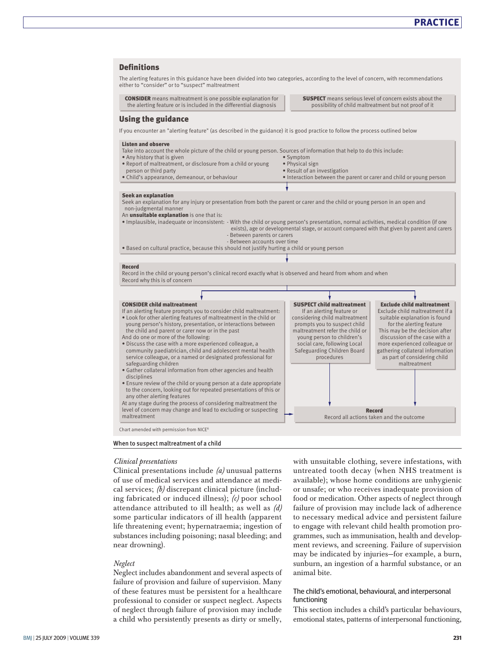# **Definitions**

The alerting features in this guidance have been divided into two categories, according to the level of concern, with recommendations either to "consider" or to "suspect" maltreatment

CONSIDER means maltreatment is one possible explanation for the alerting feature or is included in the differential diagnosis

**SUSPECT** means serious level of concern exists about the possibility of child maltreatment but not proof of it

#### Using the guidance

If you encounter an "alerting feature" (as described in the guidance) it is good practice to follow the process outlined below

#### Listen and observe Take into account the whole picture of the child or young person. Sources of information that help to do this include:

| • Any history that is given<br>• Report of maltreatment, or disclosure from a child or young<br>person or third party | • Symptom<br>• Physical sign<br>• Result of an investigation        |
|-----------------------------------------------------------------------------------------------------------------------|---------------------------------------------------------------------|
| • Child's appearance, demeanour, or behaviour                                                                         | • Interaction between the parent or carer and child or young person |
|                                                                                                                       |                                                                     |

#### Seek an explanation

Seek an explanation for any injury or presentation from both the parent or carer and the child or young person in an open and non-judgmental manner

An **unsuitable explanation** is one that is:

• Implausible, inadequate or inconsistent: - With the child or young person's presentation, normal activities, medical condition (if one exists), age or developmental stage, or account compared with that given by parent and carers - Between parents or carers

- Between accounts over time

• Based on cultural practice, because this should not justify hurting a child or young person

#### Record

Record in the child or young person's clinical record exactly what is observed and heard from whom and when Record why this is of concern





#### *Clinical presentations*

Clinical presentations include *(a)* unusual patterns of use of medical services and attendance at medical services; *(b)* discrepant clinical picture (including fabricated or induced illness); *(c)* poor school attendance attributed to ill health; as well as *(d)* some particular indicators of ill health (apparent life threatening event; hypernatraemia; ingestion of substances including poisoning; nasal bleeding; and near drowning).

#### *Neglect*

Neglect includes abandonment and several aspects of failure of provision and failure of supervision. Many of these features must be persistent for a healthcare professional to consider or suspect neglect. Aspects of neglect through failure of provision may include a child who persistently presents as dirty or smelly,

with unsuitable clothing, severe infestations, with untreated tooth decay (when NHS treatment is available); whose home conditions are unhygienic or unsafe; or who receives inadequate provision of food or medication. Other aspects of neglect through failure of provision may include lack of adherence to necessary medical advice and persistent failure to engage with relevant child health promotion programmes, such as immunisation, health and development reviews, and screening. Failure of supervision may be indicated by injuries—for example, a burn, sunburn, an ingestion of a harmful substance, or an animal bite.

# The child's emotional, behavioural, and interpersonal functioning

This section includes a child's particular behaviours, emotional states, patterns of interpersonal functioning,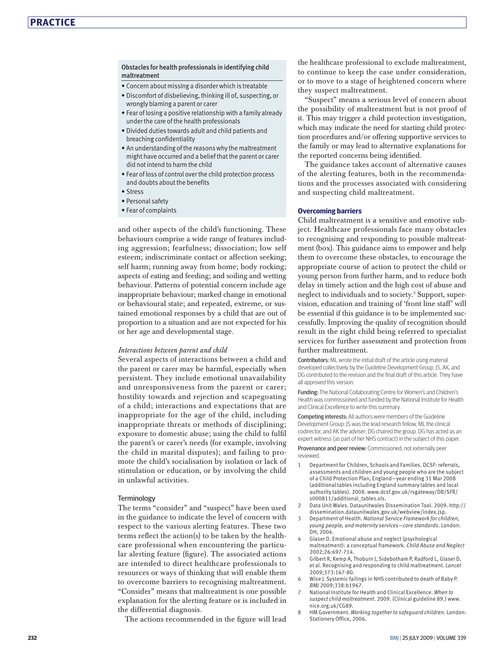## Obstacles for health professionals in identifying child maltreatment

- Concern about missing a disorder which is treatable
- Discomfort of disbelieving, thinking ill of, suspecting, or wrongly blaming a parent or carer
- Fear of losing a positive relationship with a family already under the care of the health professionals
- • Divided duties towards adult and child patients and breaching confidentiality
- • An understanding of the reasons why the maltreatment might have occurred and a belief that the parent or carer did not intend to harm the child
- • Fear of loss of control over the child protection process and doubts about the benefits
- Stress
- Personal safety
- • Fear of complaints

and other aspects of the child's functioning. These behaviours comprise a wide range of features including aggression; fearfulness; dissociation; low self esteem; indiscriminate contact or affection seeking; self harm; running away from home; body rocking; aspects of eating and feeding; and soiling and wetting behaviour. Patterns of potential concern include age inappropriate behaviour; marked change in emotional or behavioural state; and repeated, extreme, or sustained emotional responses by a child that are out of proportion to a situation and are not expected for his or her age and developmental stage.

# *Interactions between parent and child*

Several aspects of interactions between a child and the parent or carer may be harmful, especially when persistent. They include emotional unavailability and unresponsiveness from the parent or carer; hostility towards and rejection and scapegoating of a child; interactions and expectations that are inappropriate for the age of the child, including inappropriate threats or methods of disciplining; exposure to domestic abuse; using the child to fulfil the parent's or carer's needs (for example, involving the child in marital disputes); and failing to promote the child's socialisation by isolation or lack of stimulation or education, or by involving the child in unlawful activities.

# Terminology

The terms "consider" and "suspect" have been used in the guidance to indicate the level of concern with respect to the various alerting features. These two terms reflect the action(s) to be taken by the healthcare professional when encountering the particular alerting feature (figure). The associated actions are intended to direct healthcare professionals to resources or ways of thinking that will enable them to overcome barriers to recognising maltreatment. "Consider" means that maltreatment is one possible explanation for the alerting feature or is included in the differential diagnosis.

The actions recommended in the figure will lead

the healthcare professional to exclude maltreatment, to continue to keep the case under consideration, or to move to a stage of heightened concern where they suspect maltreatment.

"Suspect" means a serious level of concern about the possibility of maltreatment but is not proof of it. This may trigger a child protection investigation, which may indicate the need for starting child protection procedures and/or offering supportive services to the family or may lead to alternative explanations for the reported concerns being identified.

The guidance takes account of alternative causes of the alerting features, both in the recommendations and the processes associated with considering and suspecting child maltreatment.

# **Overcoming barriers**

Child maltreatment is a sensitive and emotive subject. Healthcare professionals face many obstacles to recognising and responding to possible maltreatment (box). This guidance aims to empower and help them to overcome these obstacles, to encourage the appropriate course of action to protect the child or young person from further harm, and to reduce both delay in timely action and the high cost of abuse and neglect to individuals and to society.3 Support, supervision, education and training of 'front line staff' will be essential if this guidance is to be implemented successfully. Improving the quality of recognition should result in the right child being referred to specialist services for further assessment and protection from further maltreatment.

Contributors: ML wrote the initial draft of the article using material developed collectively by the Guideline Development Group. JS, AK, and DG contributed to the revision and the final draft of this article. They have all approved this version.

Funding: The National Collaborating Centre for Women's and Children's Health was commissioned and funded by the National Institute for Health and Clinical Excellence to write this summary.

Competing interests: All authors were members of the Guideline Development Group: JS was the lead research fellow, ML the clinical codirector, and AK the adviser; DG chaired the group. DG has acted as an expert witness (as part of her NHS contract) in the subject of this paper.

Provenance and peer review: Commissioned; not externally peer reviewed.

- 1 Department for Children, Schools and Families. DCSF: referrals, assessments and children and young people who are the subject of a Child Protection Plan, England—year ending 31 Mar 2008 (additional tables including England summary tables and local authority tables). 2008. www.dcsf.gov.uk/rsgateway/DB/SFR/ s000811/additional\_tables.xls.
- 2 Data Unit Wales. Dataunitwales Dissemination Tool. 2009. http:// dissemination.dataunitwales.gov.uk/webview/index.jsp.
- 3 Department of Health. *National Service Framework for children, young people, and maternity services—core standards*. London: DH, 2004.
- 4 Glaser D. Emotional abuse and neglect (psychological maltreatment): a conceptual framework. *Child Abuse and Neglect* 2002;26:697-714.
- 5 Gilbert R, Kemp A, Thoburn J, Sidebotham P, Radford L, Glaser D, et al. Recognising and responding to child maltreatment. *Lancet* 2009;373:167-80.
- 6 Wise J. Systemic failings in NHS contributed to death of Baby P. *BMJ* 2009;338:b1967.
- 7 National Institute for Health and Clinical Excellence. *When to suspect child maltreatment*. 2009. (Clinical guideline 89.) www. nice.org.uk/CG89.
- 8 HM Government. *Working together to safeguard children*. London: Stationery Office, 2006.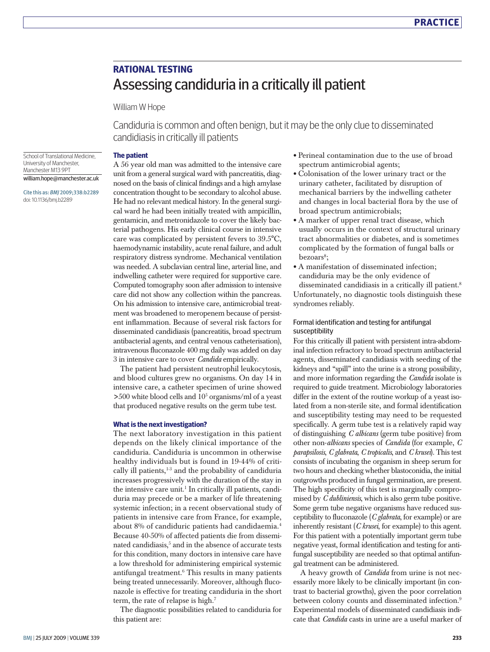# **Rational Testing** Assessing candiduria in a critically ill patient

William W Hope

Candiduria is common and often benign, but it may be the only clue to disseminated candidiasis in critically ill patients

#### **The patient**

School of Translational Medicine, University of Manchester, Manchester M13 9PT william.hope@manchester.ac.uk

Cite this as: *BMJ* 2009;338:b2289 doi: 10.1136/bmj.b2289

A 56 year old man was admitted to the intensive care unit from a general surgical ward with pancreatitis, diagnosed on the basis of clinical findings and a high amylase concentration thought to be secondary to alcohol abuse. He had no relevant medical history. In the general surgical ward he had been initially treated with ampicillin, gentamicin, and metronidazole to cover the likely bacterial pathogens. His early clinical course in intensive care was complicated by persistent fevers to 39.5°C, haemodynamic instability, acute renal failure, and adult respiratory distress syndrome. Mechanical ventilation was needed. A subclavian central line, arterial line, and indwelling catheter were required for supportive care. Computed tomography soon after admission to intensive care did not show any collection within the pancreas. On his admission to intensive care, antimicrobial treatment was broadened to meropenem because of persistent inflammation. Because of several risk factors for disseminated candidiasis (pancreatitis, broad spectrum antibacterial agents, and central venous catheterisation), intravenous fluconazole 400 mg daily was added on day 3 in intensive care to cover *Candida* empirically.

The patient had persistent neutrophil leukocytosis, and blood cultures grew no organisms. On day 14 in intensive care, a catheter specimen of urine showed  $>500$  white blood cells and  $10<sup>5</sup>$  organisms/ml of a yeast that produced negative results on the germ tube test.

#### **What is the next investigation?**

The next laboratory investigation in this patient depends on the likely clinical importance of the candiduria. Candiduria is uncommon in otherwise healthy individuals but is found in 19-44% of critically ill patients, $1-3$  and the probability of candiduria increases progressively with the duration of the stay in the intensive care unit.<sup>1</sup> In critically ill patients, candiduria may precede or be a marker of life threatening systemic infection; in a recent observational study of patients in intensive care from France, for example, about 8% of candiduric patients had candidaemia.4 Because 40-50% of affected patients die from disseminated candidiasis,<sup>5</sup> and in the absence of accurate tests for this condition, many doctors in intensive care have a low threshold for administering empirical systemic antifungal treatment.6 This results in many patients being treated unnecessarily. Moreover, although fluconazole is effective for treating candiduria in the short term, the rate of relapse is high.7

The diagnostic possibilities related to candiduria for this patient are:

- Perineal contamination due to the use of broad spectrum antimicrobial agents;
- Colonisation of the lower urinary tract or the urinary catheter, facilitated by disruption of mechanical barriers by the indwelling catheter and changes in local bacterial flora by the use of broad spectrum antimicrobials;
- A marker of upper renal tract disease, which usually occurs in the context of structural urinary tract abnormalities or diabetes, and is sometimes complicated by the formation of fungal balls or bezoars<sup>8</sup>;
- A manifestation of disseminated infection; candiduria may be the only evidence of disseminated candidiasis in a critically ill patient.<sup>8</sup>

Unfortunately, no diagnostic tools distinguish these syndromes reliably.

# Formal identification and testing for antifungal susceptibility

For this critically ill patient with persistent intra-abdominal infection refractory to broad spectrum antibacterial agents, disseminated candidiasis with seeding of the kidneys and "spill" into the urine is a strong possibility, and more information regarding the *Candida* isolate is required to guide treatment. Microbiology laboratories differ in the extent of the routine workup of a yeast isolated from a non-sterile site, and formal identification and susceptibility testing may need to be requested specifically. A germ tube test is a relatively rapid way of distinguishing *C albicans* (germ tube positive) from other non-*albicans* species of *Candida* (for example, *C parapsilosis*, *C glabrata*, *C tropicalis*, and *C krusei*). This test consists of incubating the organism in sheep serum for two hours and checking whether blastoconidia, the initial outgrowths produced in fungal germination, are present. The high specificity of this test is marginally compromised by *C dubliniensis*, which is also germ tube positive. Some germ tube negative organisms have reduced susceptibility to fluconazole (*C glabrata*, for example) or are inherently resistant (*C krusei*, for example) to this agent. For this patient with a potentially important germ tube negative yeast, formal identification and testing for antifungal susceptibility are needed so that optimal antifungal treatment can be administered.

A heavy growth of *Candida* from urine is not necessarily more likely to be clinically important (in contrast to bacterial growths), given the poor correlation between colony counts and disseminated infection.<sup>9</sup> Experimental models of disseminated candidiasis indicate that *Candida* casts in urine are a useful marker of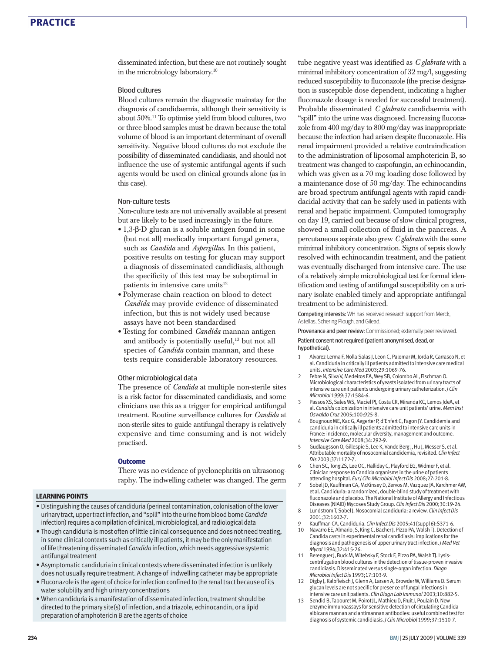disseminated infection, but these are not routinely sought in the microbiology laboratory.10

#### Blood cultures

Blood cultures remain the diagnostic mainstay for the diagnosis of candidaemia, although their sensitivity is about 50%.11 To optimise yield from blood cultures, two or three blood samples must be drawn because the total volume of blood is an important determinant of overall sensitivity. Negative blood cultures do not exclude the possibility of disseminated candidiasis, and should not influence the use of systemic antifungal agents if such agents would be used on clinical grounds alone (as in this case).

# Non-culture tests

Non-culture tests are not universally available at present but are likely to be used increasingly in the future.

- 1,3-β-D glucan is a soluble antigen found in some (but not all) medically important fungal genera, such as *Candida* and *Aspergillus*. In this patient, positive results on testing for glucan may support a diagnosis of disseminated candidiasis, although the specificity of this test may be suboptimal in patients in intensive care units<sup>12</sup>
- Polymerase chain reaction on blood to detect *Candida* may provide evidence of disseminated infection, but this is not widely used because assays have not been standardised
- Testing for combined *Candida* mannan antigen and antibody is potentially useful,<sup>13</sup> but not all species of *Candida* contain mannan, and these tests require considerable laboratory resources.

# Other microbiological data

The presence of *Candida* at multiple non-sterile sites is a risk factor for disseminated candidiasis, and some clinicians use this as a trigger for empirical antifungal treatment. Routine surveillance cultures for *Candida* at non-sterile sites to guide antifungal therapy is relatively expensive and time consuming and is not widely practised.

#### **Outcome**

There was no evidence of pyelonephritis on ultrasonography. The indwelling catheter was changed. The germ

# **Learning points**

- • Distinguishing the causes of candiduria (perineal contamination, colonisation of the lower urinary tract, upper tract infection, and "spill" into the urine from blood borne *Candida* infection) requires a compilation of clinical, microbiological, and radiological data
- • Though candiduria is most often of little clinical consequence and does not need treating, in some clinical contexts such as critically ill patients, it may be the only manifestation of life threatening disseminated *Candida* infection, which needs aggressive systemic antifungal treatment
- • Asymptomatic candiduria in clinical contexts where disseminated infection is unlikely does not usually require treatment. A change of indwelling catheter may be appropriate
- • Fluconazole is the agent of choice for infection confined to the renal tract because of its water solubility and high urinary concentrations
- • When candiduria is a manifestation of disseminated infection, treatment should be directed to the primary site(s) of infection, and a triazole, echinocandin, or a lipid preparation of amphotericin B are the agents of choice

tube negative yeast was identified as *C glabrata* with a minimal inhibitory concentration of 32 mg/l, suggesting reduced susceptibility to fluconazole (the precise designation is susceptible dose dependent, indicating a higher fluconazole dosage is needed for successful treatment). Probable disseminated *C glabrata* candidaemia with "spill" into the urine was diagnosed. Increasing fluconazole from 400 mg/day to 800 mg/day was inappropriate because the infection had arisen despite fluconazole. His renal impairment provided a relative contraindication to the administration of liposomal amphotericin B, so treatment was changed to caspofungin, an echinocandin, which was given as a 70 mg loading dose followed by a maintenance dose of 50 mg/day. The echinocandins are broad spectrum antifungal agents with rapid candidacidal activity that can be safely used in patients with renal and hepatic impairment. Computed tomography on day 19, carried out because of slow clinical progress, showed a small collection of fluid in the pancreas. A percutaneous aspirate also grew *C glabrata* with the same minimal inhibitory concentration. Signs of sepsis slowly resolved with echinocandin treatment, and the patient was eventually discharged from intensive care. The use of a relatively simple microbiological test for formal identification and testing of antifungal susceptibility on a urinary isolate enabled timely and appropriate antifungal treatment to be administered.

Competing interests: WH has received research support from Merck, Astellas, Schering Plough, and Gilead.

Provenance and peer review: Commissioned; externally peer reviewed.

#### Patient consent not required (patient anonymised, dead, or hypothetical).

- 1 Alvarez-Lerma F, Nolla-Salas J, Leon C, Palomar M, Jorda R, Carrasco N, et al. Candiduria in critically ill patients admitted to intensive care medical units. *Intensive Care Med* 2003;29:1069-76.
- 2 Febre N, Silva V, Medeiros EA, Wey SB, Colombo AL, Fischman O. Microbiological characteristics of yeasts isolated from urinary tracts of intensive care unit patients undergoing urinary catheterization. *J Clin Microbiol* 1999;37:1584-6.
- 3 Passos XS, Sales WS, Maciel PJ, Costa CR, Miranda KC, Lemos JdeA, et al. *Candida* colonization in intensive care unit patients' urine. *Mem Inst Oswaldo Cruz* 2005;100:925-8.
- 4 Bougnoux ME, Kac G, Aegerter P, d'Enfert C, Fagon JY. Candidemia and candiduria in critically ill patients admitted to intensive care units in France: incidence, molecular diversity, management and outcome. *Intensive Care Med* 2008;34:292-9.
- 5 Gudlaugsson O, Gillespie S, Lee K, Vande Berg J, Hu J, Messer S, et al. Attributable mortality of nosocomial candidemia, revisited. *Clin Infect Dis* 2003;37:1172-7.
- 6 Chen SC, Tong ZS, Lee OC, Halliday C, Playford EG, Widmer F, et al. Clinician response to Candida organisms in the urine of patients attending hospital. *Eur J Clin Microbiol Infect Dis* 2008;27:201-8.
- 7 Sobel JD, Kauffman CA, McKinsey D, Zervos M, Vazquez JA, Karchmer AW, et al. Candiduria: a randomized, double-blind study of treatment with fluconazole and placebo. The National Institute of Allergy and Infectious Diseases (NIAID) Mycoses Study Group. *Clin Infect Dis* 2000;30:19-24.
- 8 Lundstrom T, Sobel J. Nosocomial candiduria: a review. *Clin Infect Dis* 2001;32:1602-7.
- 9 Kauffman CA. Candiduria. *Clin Infect Dis* 2005;41(suppl 6):S371-6.
- Navarro EE, Almario JS, King C, Bacher J, Pizzo PA, Walsh TJ. Detection of Candida casts in experimental renal candidiasis: implications for the diagnosis and pathogenesis of upper urinary tract infection. *J Med Vet Mycol* 1994;32:415-26.
- 11 Berenguer J, Buck M, Witebsky F, Stock F, Pizzo PA, Walsh TJ. Lysiscentrifugation blood cultures in the detection of tissue-proven invasive candidiasis. Disseminated versus single-organ infection. *Diagn Microbiol Infect Dis* 1993;17:103-9.
- 12 Digby J, Kalbfleisch J, Glenn A, Larsen A, Browder W, Williams D. Serum glucan levels are not specific for presence of fungal infections in intensive care unit patients. *Clin Diagn Lab Immunol* 2003;10:882-5.
- 13 Sendid B, Tabouret M, Poirot JL, Mathieu D, Fruit J, Poulain D. New enzyme immunoassays for sensitive detection of circulating Candida albicans mannan and antimannan antibodies: useful combined test for diagnosis of systemic candidiasis. *J Clin Microbiol* 1999;37:1510-7.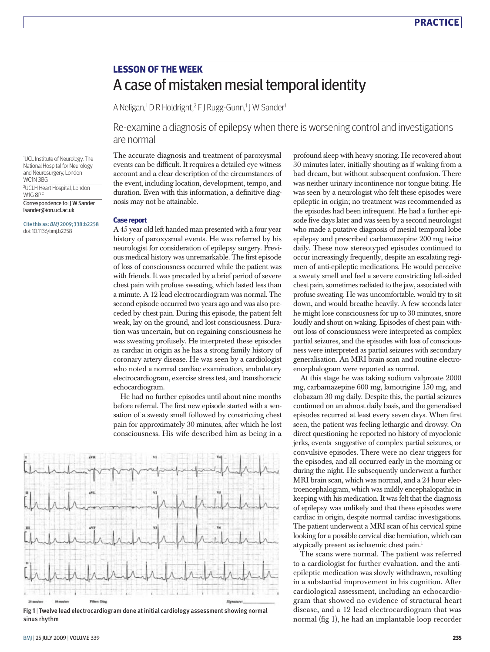# **Lesson of the Week** A case of mistaken mesial temporal identity

A Neligan,<sup>1</sup> D R Holdright,<sup>2</sup> F J Rugg-Gunn,<sup>1</sup> J W Sander<sup>1</sup>

Re-examine a diagnosis of epilepsy when there is worsening control and investigations are normal

The accurate diagnosis and treatment of paroxysmal events can be difficult. It requires a detailed eye witness account and a clear description of the circumstances of the event, including location, development, tempo, and duration. Even with this information, a definitive diagnosis may not be attainable.

#### **Case report**

A 45 year old left handed man presented with a four year history of paroxysmal events. He was referred by his neurologist for consideration of epilepsy surgery. Previous medical history was unremarkable. The first episode of loss of consciousness occurred while the patient was with friends. It was preceded by a brief period of severe chest pain with profuse sweating, which lasted less than a minute. A 12-lead electrocardiogram was normal. The second episode occurred two years ago and was also preceded by chest pain. During this episode, the patient felt weak, lay on the ground, and lost consciousness. Duration was uncertain, but on regaining consciousness he was sweating profusely. He interpreted these episodes as cardiac in origin as he has a strong family history of coronary artery disease. He was seen by a cardiologist who noted a normal cardiac examination, ambulatory electrocardiogram, exercise stress test, and transthoracic echocardiogram.

He had no further episodes until about nine months before referral. The first new episode started with a sensation of a sweaty smell followed by constricting chest pain for approximately 30 minutes, after which he lost consciousness. His wife described him as being in a



**Fig 1** | Twelve lead electrocardiogram done at initial cardiology assessment showing normal sinus rhythm

BMJ | 25 july 2009 | Volume 339 **235**

profound sleep with heavy snoring. He recovered about 30 minutes later, initially shouting as if waking from a bad dream, but without subsequent confusion. There was neither urinary incontinence nor tongue biting. He was seen by a neurologist who felt these episodes were epileptic in origin; no treatment was recommended as the episodes had been infrequent. He had a further episode five days later and was seen by a second neurologist who made a putative diagnosis of mesial temporal lobe epilepsy and prescribed carbamazepine 200 mg twice daily. These now stereotyped episodes continued to occur increasingly frequently, despite an escalating regimen of anti-epileptic medications. He would perceive a sweaty smell and feel a severe constricting left-sided chest pain, sometimes radiated to the jaw, associated with profuse sweating. He was uncomfortable, would try to sit down, and would breathe heavily. A few seconds later he might lose consciousness for up to 30 minutes, snore loudly and shout on waking. Episodes of chest pain without loss of consciousness were interpreted as complex partial seizures, and the episodes with loss of consciousness were interpreted as partial seizures with secondary generalisation. An MRI brain scan and routine electroencephalogram were reported as normal.

At this stage he was taking sodium valproate 2000 mg, carbamazepine 600 mg, lamotrigine 150 mg, and clobazam 30 mg daily. Despite this, the partial seizures continued on an almost daily basis, and the generalised episodes recurred at least every seven days. When first seen, the patient was feeling lethargic and drowsy. On direct questioning he reported no history of myoclonic jerks, events suggestive of complex partial seizures, or convulsive episodes. There were no clear triggers for the episodes, and all occurred early in the morning or during the night. He subsequently underwent a further MRI brain scan, which was normal, and a 24 hour electroencephalogram, which was mildly encephalopathic in keeping with his medication. It was felt that the diagnosis of epilepsy was unlikely and that these episodes were cardiac in origin, despite normal cardiac investigations. The patient underwent a MRI scan of his cervical spine looking for a possible cervical disc herniation, which can atypically present as ischaemic chest pain.<sup>1</sup>

The scans were normal. The patient was referred to a cardiologist for further evaluation, and the antiepileptic medication was slowly withdrawn, resulting in a substantial improvement in his cognition. After cardiological assessment, including an echocardiogram that showed no evidence of structural heart disease, and a 12 lead electrocardiogram that was normal (fig 1), he had an implantable loop recorder

1 UCL Institute of Neurology, The National Hospital for Neurology and Neurosurgery, London WC1N 3BG 2 UCLH Heart Hospital, London W1G 8PF Correspondence to: J W Sander

lsander@ion.ucl.ac.uk

Cite this as: *BMJ* 2009;338:b2258 doi: 10.1136/bmj.b2258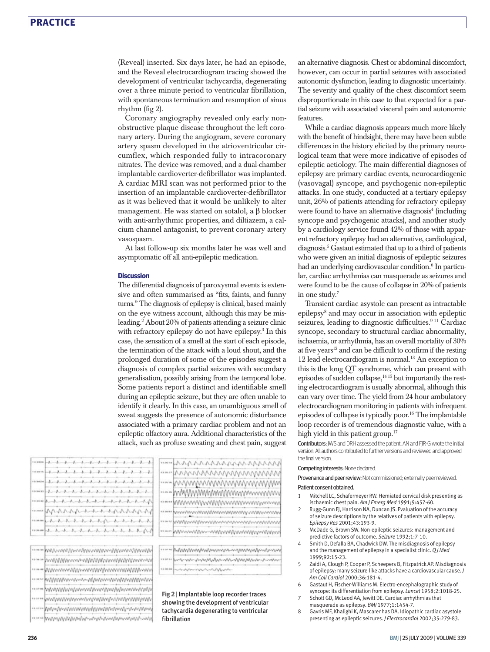(Reveal) inserted. Six days later, he had an episode, and the Reveal electrocardiogram tracing showed the development of ventricular tachycardia, degenerating over a three minute period to ventricular fibrillation, with spontaneous termination and resumption of sinus rhythm (fig 2).

Coronary angiography revealed only early nonobstructive plaque disease throughout the left coronary artery. During the angiogram, severe coronary artery spasm developed in the atrioventricular circumflex, which responded fully to intracoronary nitrates. The device was removed, and a dual-chamber implantable cardioverter-defibrillator was implanted. A cardiac MRI scan was not performed prior to the insertion of an implantable cardioverter-defibrillator as it was believed that it would be unlikely to alter management. He was started on sotalol, a β blocker with anti-arrhythmic properties, and diltiazem, a calcium channel antagonist, to prevent coronary artery vasospasm.

At last follow-up six months later he was well and asymptomatic off all anti-epileptic medication.

#### **Discussion**

The differential diagnosis of paroxysmal events is extensive and often summarised as "fits, faints, and funny turns." The diagnosis of epilepsy is clinical, based mainly on the eye witness account, although this may be misleading.2 About 20% of patients attending a seizure clinic with refractory epilepsy do not have epilepsy.3 In this case, the sensation of a smell at the start of each episode, the termination of the attack with a loud shout, and the prolonged duration of some of the episodes suggest a diagnosis of complex partial seizures with secondary generalisation, possibly arising from the temporal lobe. Some patients report a distinct and identifiable smell during an epileptic seizure, but they are often unable to identify it clearly. In this case, an unambiguous smell of sweat suggests the presence of autonomic disturbance associated with a primary cardiac problem and not an epileptic olfactory aura. Additional characteristics of the attack, such as profuse sweating and chest pain, suggest

| $mm + 1 + 1 + 1 + 1 + 1 + 1 + 1$            |  |  |  |  |  |  |  |
|---------------------------------------------|--|--|--|--|--|--|--|
|                                             |  |  |  |  |  |  |  |
| $\ldots \ldots \ldots \ldots \ldots$        |  |  |  |  |  |  |  |
|                                             |  |  |  |  |  |  |  |
| mariciaisining                              |  |  |  |  |  |  |  |
| MMMMMMMMMM                                  |  |  |  |  |  |  |  |
|                                             |  |  |  |  |  |  |  |
| $\cdots \cdots \cdots \cdots \cdots \cdots$ |  |  |  |  |  |  |  |
|                                             |  |  |  |  |  |  |  |

| • huwwwwwwwwwwwwwwww      |
|---------------------------|
| Www.www.www.www.wwwww.www |
| mmmmmmmmmmmmmmmm          |
| MMMMMMmMMmMMMMMMMMM       |
| mmmmmmmmmmmmmmmmm         |
| mmmmmmmmmmmmmmm           |
| mmmmmmmmmmmmmmmmmmm       |

| parananananana         |
|------------------------|
| MMMMMMMMMMMM           |
| MMMMMMMMMMMM           |
| MAMMMMMMMMmmmmm        |
| MMMMMMMMMMMMM          |
| wwwwwwwwwwwwwwwwwwwwww |
| MMWwwWwwwwwwwwwwwwwww  |
| wwwwwwwwwwwwwwww       |

| <b>UNITED CONTRACTOR CONTRACTOR</b> |  |  |  |
|-------------------------------------|--|--|--|

**Fig 2** | Implantable loop recorder traces showing the development of ventricular tachycardia degenerating to ventricular fibrillation

an alternative diagnosis. Chest or abdominal discomfort, however, can occur in partial seizures with associated autonomic dysfunction, leading to diagnostic uncertainty. The severity and quality of the chest discomfort seem disproportionate in this case to that expected for a partial seizure with associated visceral pain and autonomic features.

While a cardiac diagnosis appears much more likely with the benefit of hindsight, there may have been subtle differences in the history elicited by the primary neurological team that were more indicative of episodes of epileptic aetiology. The main differential diagnoses of epilepsy are primary cardiac events, neurocardiogenic (vasovagal) syncope, and psychogenic non-epileptic attacks. In one study, conducted at a tertiary epilepsy unit, 26% of patients attending for refractory epilepsy were found to have an alternative diagnosis<sup>4</sup> (including syncope and psychogenic attacks), and another study by a cardiology service found 42% of those with apparent refractory epilepsy had an alternative, cardiological, diagnosis.<sup>5</sup> Gastaut estimated that up to a third of patients who were given an initial diagnosis of epileptic seizures had an underlying cardiovascular condition.<sup>6</sup> In particular, cardiac arrhythmias can masquerade as seizures and were found to be the cause of collapse in 20% of patients in one study.7

Transient cardiac asystole can present as intractable epilepsy8 and may occur in association with epileptic seizures, leading to diagnostic difficulties.<sup>9-11</sup> Cardiac syncope, secondary to structural cardiac abnormality, ischaemia, or arrhythmia, has an overall mortality of 30% at five years<sup>12</sup> and can be difficult to confirm if the resting 12 lead electrocardiogram is normal.13 An exception to this is the long QT syndrome, which can present with episodes of sudden collapse,<sup>14 15</sup> but importantly the resting electrocardiogram is usually abnormal, although this can vary over time. The yield from 24 hour ambulatory electrocardiogram monitoring in patients with infrequent episodes of collapse is typically poor.<sup>16</sup> The implantable loop recorder is of tremendous diagnostic value, with a high yield in this patient group.<sup>17</sup>

Contributors: JWS and DRH assessed the patient. AN and FJR-G wrote the initial version. All authors contributed to further versions and reviewed and approved the final version.

Competing interests: None declared.

Provenance and peer review: Not commissioned; externally peer reviewed.

#### Patient consent obtained.

- 1 Mitchell LC, Schafermeyer RW. Herniated cervical disk presenting as ischaemic chest pain. *Am J Emerg Med* 1991;9:457-60.
- 2 Rugg-Gunn FJ, Harrison NA, Duncan JS. Evaluation of the accuracy of seizure descriptions by the relatives of patients with epilepsy. *Epilepsy Res* 2001;43:193-9.
- 3 McDade G, Brown SW. Non-epileptic seizures: management and predictive factors of outcome. *Seizure* 1992;1:7-10.
- Smith D, Defalla BA, Chadwick DW. The misdiagnosis of epilepsy and the management of epilepsy in a specialist clinic. *Q J Med* 1999;92:15-23.
- 5 Zaidi A, Clough P, Cooper P, Scheepers B, Fitzpatrick AP. Misdiagnosis of epilepsy: many seizure-like attacks have a cardiovascular cause. *J Am Coll Cardiol* 2000;36:181-4.
- 6 Gastaut H, Fischer-Williams M. Electro-encephalographic study of syncope: its differentiation from epilepsy. *Lancet* 1958;2:1018-25.
- 7 Schott GD, McLeod AA, Jewitt DE. Cardiac arrhythmias that masquerade as epilepsy. *BMJ* 1977;1:1454-7.
- 8 Gavris MF, Khalighi K, Mascarenhas DA. Idiopathic cardiac asystole presenting as epileptic seizures. *J Electrocardiol* 2002;35:279-83.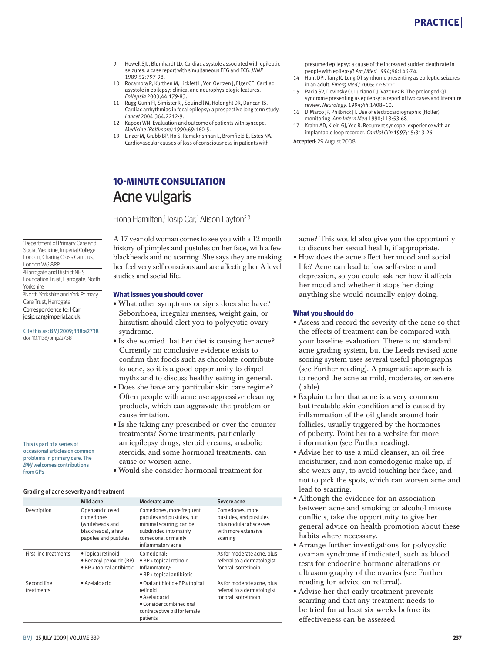- 9 Howell SJL, Blumhardt LD. Cardiac asystole associated with epileptic seizures: a case report with simultaneous EEG and ECG. *JNNP* 1989;52:797-98.
- 10 Rocamora R, Kurthen M, Lickfett L, Von Oertzen J, Elger CE. Cardiac asystole in epilepsy: clinical and neurophysiologic features. *Epilepsia* 2003;44:179-83.
- 11 Rugg-Gunn FJ, Simister RJ, Squirrell M, Holdright DR, Duncan JS. Cardiac arrhythmias in focal epilepsy: a prospective long term study. *Lancet* 2004;364:2212-9.
- 12 Kapoor WN. Evaluation and outcome of patients with syncope. *Medicine (Baltimore)* 1990;69:160-5.
- 13 Linzer M, Grubb BP, Ho S, Ramakrishnan L, Bromfield E, Estes NA. Cardiovascular causes of loss of consciousness in patients with

presumed epilepsy: a cause of the increased sudden death rate in people with epilepsy? *Am J Med* 1994;96:146-74.

- 14 Hunt DPJ, Tang K. Long QT syndrome presenting as epileptic seizures in an adult. *Emerg Med J* 2005;22:600-1.
- 15 Pacia SV, Devinsky O, Luciano DJ, Vazquez B. The prolonged QT syndrome presenting as epilepsy: a report of two cases and literature review. *Neurology.* 1994;44:1408–10.
- 16 DiMarco JP, Philbrick JT. Use of electrocardiographic (Holter) monitoring. *Ann Intern Med* 1990;113:53-68.
- 17 Krahn AD, Klein GJ, Yee R. Recurrent syncope: experience with an implantable loop recorder. *Cardiol Clin* 1997;15:313-26.

Accepted: 29 August 2008

# **10-Minute Consultation** Acne vulgaris

Fiona Hamilton,<sup>1</sup> Josip Car,<sup>1</sup> Alison Layton<sup>23</sup>

1 Department of Primary Care and Social Medicine, Imperial College London, Charing Cross Campus, London W6 8RP

2 Harrogate and District NHS Foundation Trust, Harrogate, North Yorkshire

3 North Yorkshire and York Primary

Care Trust, Harrogate Correspondence to: J Car josip.car@imperial.ac.uk

Cite this as: BMJ 2009;338:a2738 doi: 10.1136/bmj.a2738

This is part of a series of occasional articles on common problems in primary care. The *BMJ* welcomes contributions from GPs

A 17 year old woman comes to see you with a 12 month history of pimples and pustules on her face, with a few blackheads and no scarring. She says they are making her feel very self conscious and are affecting her A level studies and social life.

# **What issues you should cover**

- What other symptoms or signs does she have? Seborrhoea, irregular menses, weight gain, or hirsutism should alert you to polycystic ovary syndrome.
- Is she worried that her diet is causing her acne? Currently no conclusive evidence exists to confirm that foods such as chocolate contribute to acne, so it is a good opportunity to dispel myths and to discuss healthy eating in general.
- Does she have any particular skin care regime? Often people with acne use aggressive cleaning products, which can aggravate the problem or cause irritation.
- Is she taking any prescribed or over the counter treatments? Some treatments, particularly antiepilepsy drugs, steroid creams, anabolic steroids, and some hormonal treatments, can cause or worsen acne.
- Would she consider hormonal treatment for

| Grading of acne severity and treatment |                                                                                               |                                                                                                                                                         |                                                                                                        |
|----------------------------------------|-----------------------------------------------------------------------------------------------|---------------------------------------------------------------------------------------------------------------------------------------------------------|--------------------------------------------------------------------------------------------------------|
|                                        | Mild acne                                                                                     | Moderate acne                                                                                                                                           | Severe acne                                                                                            |
| Description                            | Open and closed<br>comedones<br>(whiteheads and<br>blackheads), a few<br>papules and pustules | Comedones, more frequent<br>papules and pustules, but<br>minimal scarring; can be<br>subdivided into mainly<br>comedonal or mainly<br>inflammatory acne | Comedones, more<br>pustules, and pustules<br>plus nodular abscesses<br>with more extensive<br>scarring |
| <b>First line treatments</b>           | • Topical retinoid<br>· Benzoyl peroxide (BP)<br>$\bullet$ BP + topical antibiotic            | Comedonal:<br>• BP + topical retinoid<br>Inflammatory:<br>$\bullet$ BP + topical antibiotic                                                             | As for moderate acne, plus<br>referral to a dermatologist<br>for oral isotretinoin                     |
| Second line<br>treatments              | · Azelaic acid                                                                                | • Oral antibiotic + BP ± topical<br>retinoid<br>· Azelaic acid<br>• Consider combined oral<br>contraceptive pill for female<br>patients                 | As for moderate acne, plus<br>referral to a dermatologist<br>for oral isotretinoin                     |

acne? This would also give you the opportunity to discuss her sexual health, if appropriate.

• How does the acne affect her mood and social life? Acne can lead to low self-esteem and depression, so you could ask her how it affects her mood and whether it stops her doing anything she would normally enjoy doing.

# **What you should do**

- Assess and record the severity of the acne so that the effects of treatment can be compared with your baseline evaluation. There is no standard acne grading system, but the Leeds revised acne scoring system uses several useful photographs (see Further reading). A pragmatic approach is to record the acne as mild, moderate, or severe (table).
- Explain to her that acne is a very common but treatable skin condition and is caused by inflammation of the oil glands around hair follicles, usually triggered by the hormones of puberty. Point her to a website for more information (see Further reading).
- Advise her to use a mild cleanser, an oil free moisturiser, and non-comedogenic make-up, if she wears any; to avoid touching her face; and not to pick the spots, which can worsen acne and lead to scarring.
- Although the evidence for an association between acne and smoking or alcohol misuse conflicts, take the opportunity to give her general advice on health promotion about these habits where necessary.
- Arrange further investigations for polycystic ovarian syndrome if indicated, such as blood tests for endocrine hormone alterations or ultrasonography of the ovaries (see Further reading for advice on referral).
- Advise her that early treatment prevents scarring and that any treatment needs to be tried for at least six weeks before its effectiveness can be assessed.